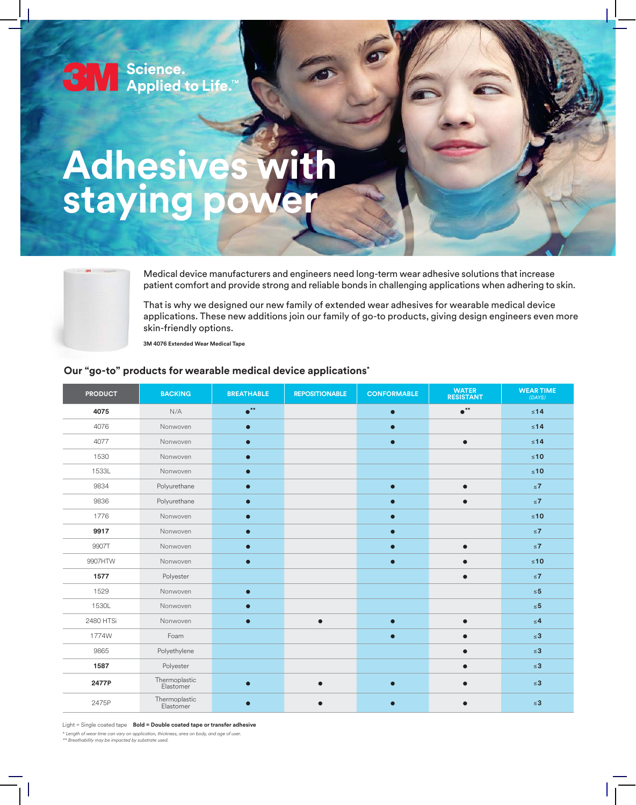

# **Adhesives with staying power**



Medical device manufacturers and engineers need long-term wear adhesive solutions that increase patient comfort and provide strong and reliable bonds in challenging applications when adhering to skin.

That is why we designed our new family of extended wear adhesives for wearable medical device applications. These new additions join our family of go-to products, giving design engineers even more skin-friendly options.

**3M 4076 Extended Wear Medical Tape**

#### **Our "go-to" products for wearable medical device applications\***

| <b>PRODUCT</b> | <b>BACKING</b>             | <b>BREATHABLE</b>      | <b>REPOSITIONABLE</b> | <b>CONFORMABLE</b> | <b>WATER</b><br><b>RESISTANT</b> | <b>WEAR TIME</b><br>(DAYS) |
|----------------|----------------------------|------------------------|-----------------------|--------------------|----------------------------------|----------------------------|
| 4075           | N/A                        | $\bullet^{\star\star}$ |                       | $\bullet$          | $\bullet ^{**}$                  | $\leq 14$                  |
| 4076           | Nonwoven                   | $\bullet$              |                       | $\bullet$          |                                  | $\leq 14$                  |
| 4077           | Nonwoven                   | $\bullet$              |                       | $\bullet$          | $\bullet$                        | $\leq 14$                  |
| 1530           | Nonwoven                   | $\bullet$              |                       |                    |                                  | $\leq 10$                  |
| 1533L          | Nonwoven                   | $\bullet$              |                       |                    |                                  | $\leq 10$                  |
| 9834           | Polyurethane               | $\bullet$              |                       | $\bullet$          | $\bullet$                        | $\leq 7$                   |
| 9836           | Polyurethane               | $\bullet$              |                       | $\bullet$          | $\bullet$                        | $\leq 7$                   |
| 1776           | Nonwoven                   | $\bullet$              |                       |                    |                                  | $≤10$                      |
| 9917           | Nonwoven                   |                        |                       | $\bullet$          |                                  | $\leq 7$                   |
| 9907T          | Nonwoven                   |                        |                       | $\bullet$          |                                  | $\leq 7$                   |
| 9907HTW        | Nonwoven                   | $\bullet$              |                       | $\bullet$          | $\bullet$                        | $\leq 10$                  |
| 1577           | Polyester                  |                        |                       |                    | $\bullet$                        | $\leq 7$                   |
| 1529           | Nonwoven                   | $\bullet$              |                       |                    |                                  | $\leq 5$                   |
| 1530L          | Nonwoven                   | $\bullet$              |                       |                    |                                  | $\leq 5$                   |
| 2480 HTSi      | Nonwoven                   | $\bullet$              |                       | $\bullet$          | $\bullet$                        | $\leq 4$                   |
| 1774W          | Foam                       |                        |                       | $\bullet$          |                                  | $\leq 3$                   |
| 9865           | Polyethylene               |                        |                       |                    |                                  | $\leq 3$                   |
| 1587           | Polyester                  |                        |                       |                    | $\bullet$                        | $\leq 3$                   |
| 2477P          | Thermoplastic<br>Elastomer | $\bullet$              |                       | $\bullet$          | $\bullet$                        | $\leq 3$                   |
| 2475P          | Thermoplastic<br>Elastomer | $\bullet$              |                       | $\bullet$          |                                  | $\leq 3$                   |

Light = Single coated tape **Bold = Double coated tape or transfer adhesive**

\* *Length of wear time can vary on application, thickness, area on body, and age of user.* 

*\*\* Breathability may be impacted by substrate used.*